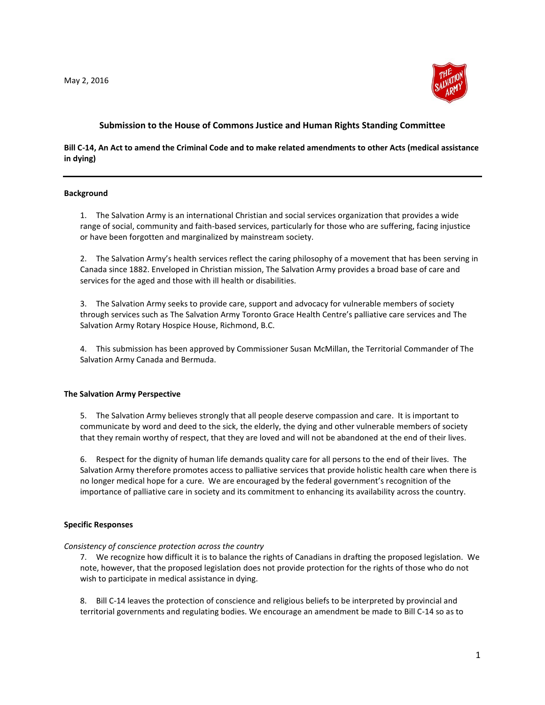

# **Submission to the House of Commons Justice and Human Rights Standing Committee**

## **Bill C-14, An Act to amend the Criminal Code and to make related amendments to other Acts (medical assistance in dying)**

### **Background**

1. The Salvation Army is an international Christian and social services organization that provides a wide range of social, community and faith-based services, particularly for those who are suffering, facing injustice or have been forgotten and marginalized by mainstream society.

2. The Salvation Army's health services reflect the caring philosophy of a movement that has been serving in Canada since 1882. Enveloped in Christian mission, The Salvation Army provides a broad base of care and services for the aged and those with ill health or disabilities.

3. The Salvation Army seeks to provide care, support and advocacy for vulnerable members of society through services such as The Salvation Army Toronto Grace Health Centre's palliative care services and The Salvation Army Rotary Hospice House, Richmond, B.C.

4. This submission has been approved by Commissioner Susan McMillan, the Territorial Commander of The Salvation Army Canada and Bermuda.

### **The Salvation Army Perspective**

5. The Salvation Army believes strongly that all people deserve compassion and care. It is important to communicate by word and deed to the sick, the elderly, the dying and other vulnerable members of society that they remain worthy of respect, that they are loved and will not be abandoned at the end of their lives.

6. Respect for the dignity of human life demands quality care for all persons to the end of their lives. The Salvation Army therefore promotes access to palliative services that provide holistic health care when there is no longer medical hope for a cure. We are encouraged by the federal government's recognition of the importance of palliative care in society and its commitment to enhancing its availability across the country.

### **Specific Responses**

### *Consistency of conscience protection across the country*

7. We recognize how difficult it is to balance the rights of Canadians in drafting the proposed legislation. We note, however, that the proposed legislation does not provide protection for the rights of those who do not wish to participate in medical assistance in dying.

8. Bill C-14 leaves the protection of conscience and religious beliefs to be interpreted by provincial and territorial governments and regulating bodies. We encourage an amendment be made to Bill C-14 so as to